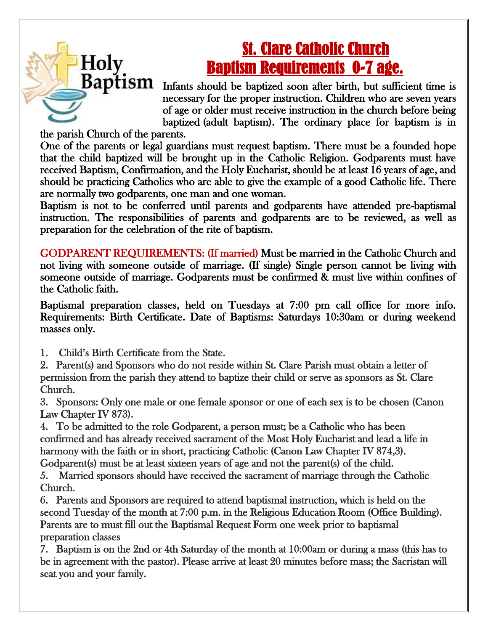## St. Clare Catholic Church Baptism Requirements 0-7 age.

 $Baptism$  Infants should be baptized soon after birth, but sufficient time is necessary for the proper instruction. Children who are seven years of age or older must receive instruction in the church before being baptized (adult baptism). The ordinary place for baptism is in

the parish Church of the parents.

Holy

One of the parents or legal guardians must request baptism. There must be a founded hope that the child baptized will be brought up in the Catholic Religion. Godparents must have received Baptism, Confirmation, and the Holy Eucharist, should be at least 16 years of age, and should be practicing Catholics who are able to give the example of a good Catholic life. There are normally two godparents, one man and one woman.

Baptism is not to be conferred until parents and godparents have attended pre-baptismal instruction. The responsibilities of parents and godparents are to be reviewed, as well as preparation for the celebration of the rite of baptism.

GODPARENT REQUIREMENTS: (If married) Must be married in the Catholic Church and not living with someone outside of marriage. (If single) Single person cannot be living with someone outside of marriage. Godparents must be confirmed & must live within confines of the Catholic faith.

 Baptismal preparation classes, held on Tuesdays at 7:00 pm call office for more info. Requirements: Birth Certificate. Date of Baptisms: Saturdays 10:30am or during weekend masses only.

- 1. Child's Birth Certificate from the State.
- 2. Parent(s) and Sponsors who do not reside within St. Clare Parish must obtain a letter of permission from the parish they attend to baptize their child or serve as sponsors as St. Clare Church.

3. Sponsors: Only one male or one female sponsor or one of each sex is to be chosen (Canon Law Chapter IV 873).

4. To be admitted to the role Godparent, a person must; be a Catholic who has been confirmed and has already received sacrament of the Most Holy Eucharist and lead a life in harmony with the faith or in short, practicing Catholic (Canon Law Chapter IV 874,3). Godparent(s) must be at least sixteen years of age and not the parent(s) of the child.

5. Married sponsors should have received the sacrament of marriage through the Catholic Church.

6. Parents and Sponsors are required to attend baptismal instruction, which is held on the second Tuesday of the month at 7:00 p.m. in the Religious Education Room (Office Building). Parents are to must fill out the Baptismal Request Form one week prior to baptismal preparation classes

7. Baptism is on the 2nd or 4th Saturday of the month at 10:00am or during a mass (this has to be in agreement with the pastor). Please arrive at least 20 minutes before mass; the Sacristan will seat you and your family.